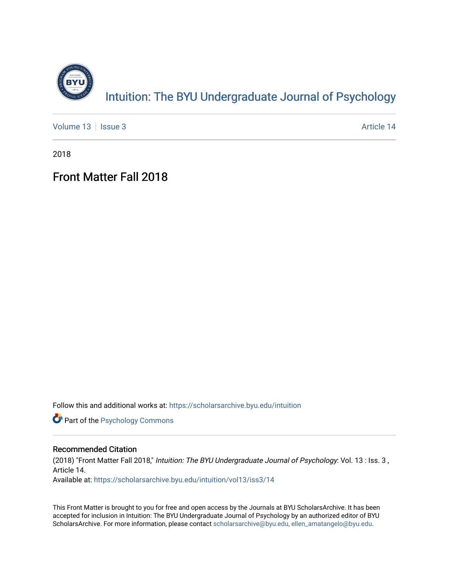

Intuition: The BY[U Undergraduate Journal of Psy](https://scholarsarchive.byu.edu/intuition)chology

[Volume 13](https://scholarsarchive.byu.edu/intuition/vol13) | [Issue 3](https://scholarsarchive.byu.edu/intuition/vol13/iss3) Article 14

2018

### Front Matter Fall 2018

Follow this and additional works at: [https://scholarsarchive.byu.edu/intuition](https://scholarsarchive.byu.edu/intuition?utm_source=scholarsarchive.byu.edu%2Fintuition%2Fvol13%2Fiss3%2F14&utm_medium=PDF&utm_campaign=PDFCoverPages) 

**Part of the Psychology Commons** 

#### Recommended Citation

(2018) "Front Matter Fall 2018," Intuition: The BYU Undergraduate Journal of Psychology: Vol. 13 : Iss. 3 , Article 14.

Available at: [https://scholarsarchive.byu.edu/intuition/vol13/iss3/14](https://scholarsarchive.byu.edu/intuition/vol13/iss3/14?utm_source=scholarsarchive.byu.edu%2Fintuition%2Fvol13%2Fiss3%2F14&utm_medium=PDF&utm_campaign=PDFCoverPages)

This Front Matter is brought to you for free and open access by the Journals at BYU ScholarsArchive. It has been accepted for inclusion in Intuition: The BYU Undergraduate Journal of Psychology by an authorized editor of BYU ScholarsArchive. For more information, please contact [scholarsarchive@byu.edu, ellen\\_amatangelo@byu.edu.](mailto:scholarsarchive@byu.edu,%20ellen_amatangelo@byu.edu)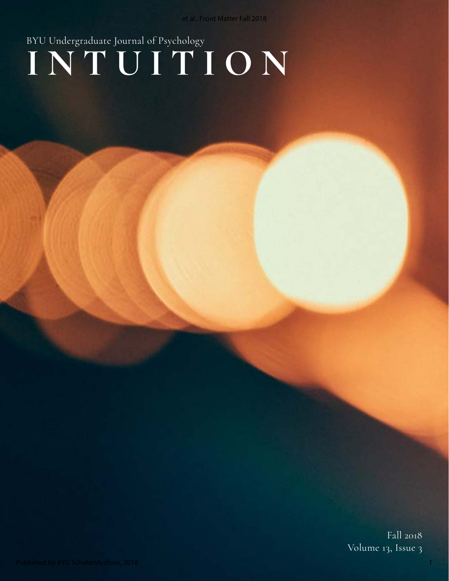# **INTUITION** BYU Undergraduate Journal of Psychology

Fall 2018 Volume 13, Issue 3

1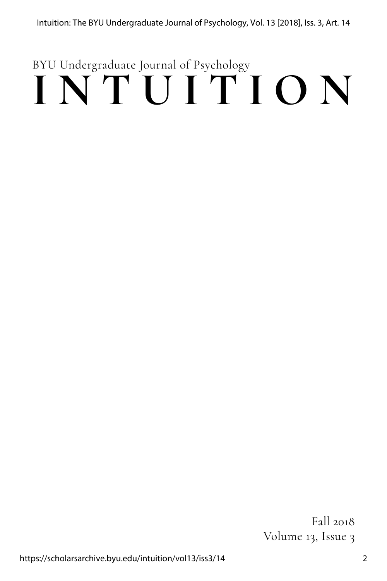## **INTUITION** BYU Undergraduate Journal of Psychology

Fall 2018 Volume 13, Issue 3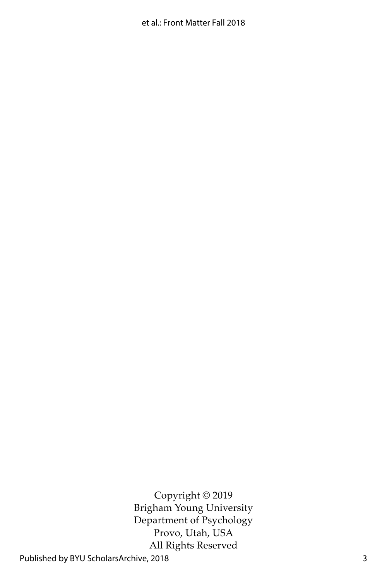Copyright © 2019 Brigham Young University Department of Psychology Provo, Utah, USA All Rights Reserved

Published by BYU ScholarsArchive, 2018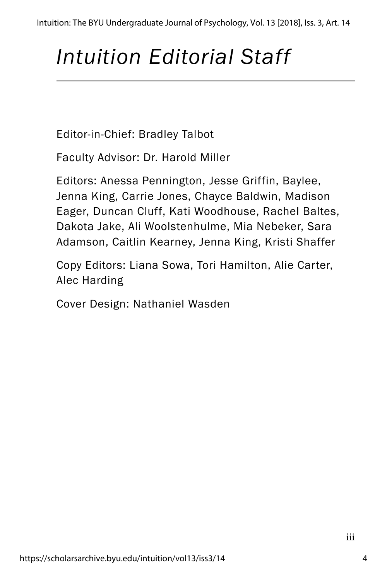## *Intuition Editorial Staff*

Editor-in-Chief: Bradley Talbot

Faculty Advisor: Dr. Harold Miller

Editors: Anessa Pennington, Jesse Griffin, Baylee, Jenna King, Carrie Jones, Chayce Baldwin, Madison Eager, Duncan Cluff, Kati Woodhouse, Rachel Baltes, Dakota Jake, Ali Woolstenhulme, Mia Nebeker, Sara Adamson, Caitlin Kearney, Jenna King, Kristi Shaffer

Copy Editors: Liana Sowa, Tori Hamilton, Alie Carter, Alec Harding

Cover Design: Nathaniel Wasden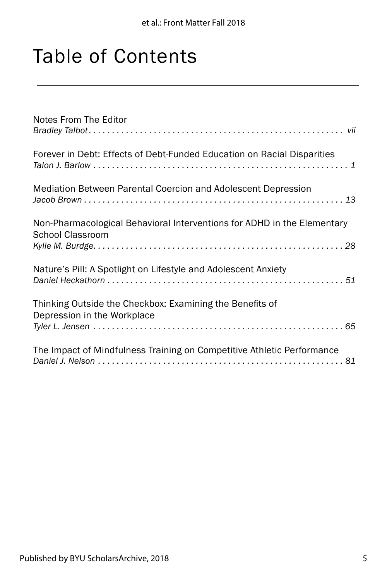## Table of Contents

| Notes From The Editor                                                                       |
|---------------------------------------------------------------------------------------------|
| Forever in Debt: Effects of Debt-Funded Education on Racial Disparities                     |
| Mediation Between Parental Coercion and Adolescent Depression                               |
| Non-Pharmacological Behavioral Interventions for ADHD in the Elementary<br>School Classroom |
| Nature's Pill: A Spotlight on Lifestyle and Adolescent Anxiety                              |
| Thinking Outside the Checkbox: Examining the Benefits of<br>Depression in the Workplace     |
| The Impact of Mindfulness Training on Competitive Athletic Performance                      |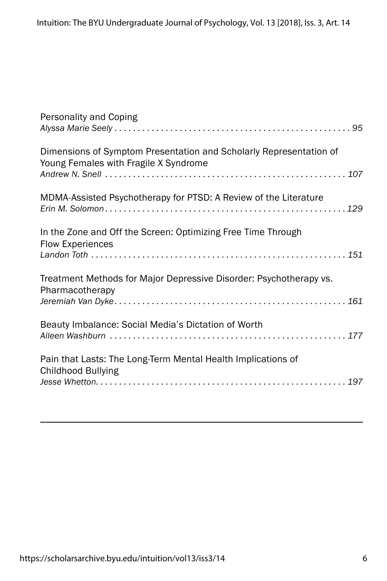| Personality and Coping                                                                                      |
|-------------------------------------------------------------------------------------------------------------|
| Dimensions of Symptom Presentation and Scholarly Representation of<br>Young Females with Fragile X Syndrome |
| MDMA-Assisted Psychotherapy for PTSD: A Review of the Literature                                            |
| In the Zone and Off the Screen: Optimizing Free Time Through<br><b>Flow Experiences</b>                     |
| Treatment Methods for Major Depressive Disorder: Psychotherapy vs.<br>Pharmacotherapy                       |
| Beauty Imbalance: Social Media's Dictation of Worth                                                         |
| Pain that Lasts: The Long-Term Mental Health Implications of<br><b>Childhood Bullying</b>                   |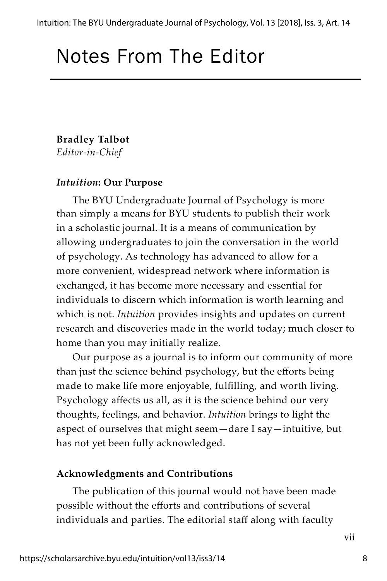### Notes From The Editor

### **Bradley Talbot** *Editor-in-Chief*

### *Intuition***: Our Purpose**

The BYU Undergraduate Journal of Psychology is more than simply a means for BYU students to publish their work in a scholastic journal. It is a means of communication by allowing undergraduates to join the conversation in the world of psychology. As technology has advanced to allow for a more convenient, widespread network where information is exchanged, it has become more necessary and essential for individuals to discern which information is worth learning and which is not. *Intuition* provides insights and updates on current research and discoveries made in the world today; much closer to home than you may initially realize.

Our purpose as a journal is to inform our community of more than just the science behind psychology, but the efforts being made to make life more enjoyable, fulfilling, and worth living. Psychology affects us all, as it is the science behind our very thoughts, feelings, and behavior. *Intuition* brings to light the aspect of ourselves that might seem—dare I say—intuitive, but has not yet been fully acknowledged.

### **Acknowledgments and Contributions**

The publication of this journal would not have been made possible without the efforts and contributions of several individuals and parties. The editorial staff along with faculty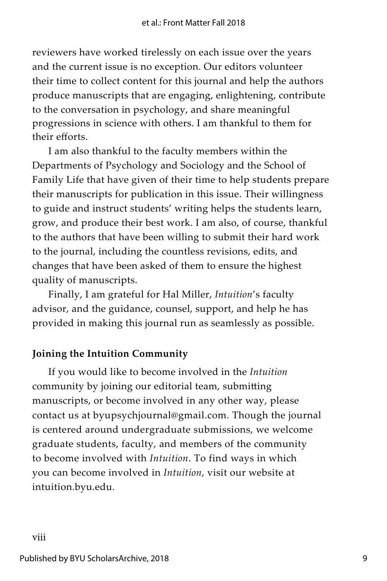reviewers have worked tirelessly on each issue over the years and the current issue is no exception. Our editors volunteer their time to collect content for this journal and help the authors produce manuscripts that are engaging, enlightening, contribute to the conversation in psychology, and share meaningful progressions in science with others. I am thankful to them for their efforts.

I am also thankful to the faculty members within the Departments of Psychology and Sociology and the School of Family Life that have given of their time to help students prepare their manuscripts for publication in this issue. Their willingness to guide and instruct students' writing helps the students learn, grow, and produce their best work. I am also, of course, thankful to the authors that have been willing to submit their hard work to the journal, including the countless revisions, edits, and changes that have been asked of them to ensure the highest quality of manuscripts.

Finally, I am grateful for Hal Miller, *Intuition*'s faculty advisor, and the guidance, counsel, support, and help he has provided in making this journal run as seamlessly as possible.

### **Joining the Intuition Community**

If you would like to become involved in the *Intuition* community by joining our editorial team, submitting manuscripts, or become involved in any other way, please contact us at byupsychjournal@gmail.com. Though the journal is centered around undergraduate submissions, we welcome graduate students, faculty, and members of the community to become involved with *Intuition*. To find ways in which you can become involved in *Intuition*, visit our website at intuition.byu.edu.